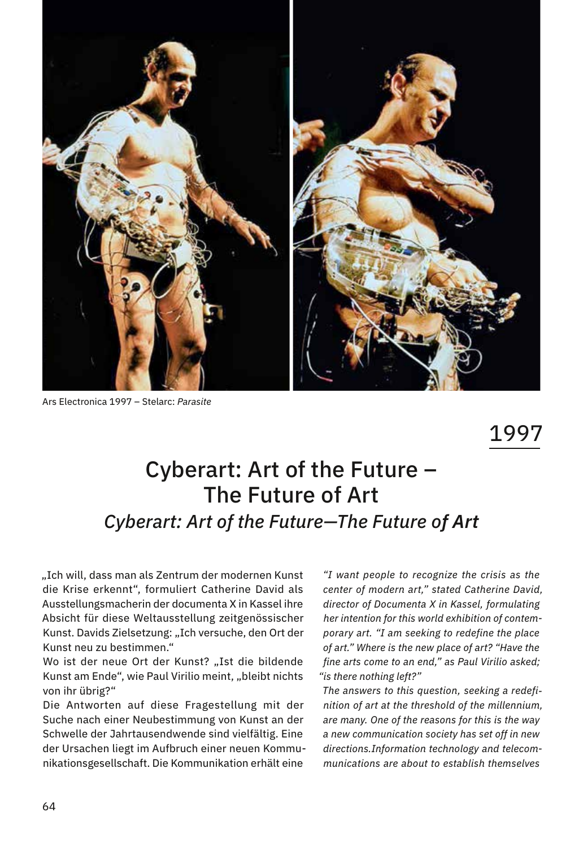

Ars Electronica 1997 – Stelarc: *Parasite*

1997

## Cyberart: Art of the Future – The Future of Art *Cyberart: Art of the Future—The Future of Art*

"Ich will, dass man als Zentrum der modernen Kunst die Krise erkennt", formuliert Catherine David als Ausstellungsmacherin der documenta X in Kassel ihre Absicht für diese Weltausstellung zeitgenössischer Kunst. Davids Zielsetzung: "Ich versuche, den Ort der Kunst neu zu bestimmen."

Wo ist der neue Ort der Kunst? "Ist die bildende Kunst am Ende", wie Paul Virilio meint, "bleibt nichts von ihr übrig?"

Die Antworten auf diese Fragestellung mit der Suche nach einer Neubestimmung von Kunst an der Schwelle der Jahrtausendwende sind vielfältig. Eine der Ursachen liegt im Aufbruch einer neuen Kommunikationsgesellschaft. Die Kommunikation erhält eine

 *"I want people to recognize the crisis as the center of modern art," stated Catherine David, director of Documenta X in Kassel, formulating her intention for this world exhibition of contemporary art. "I am seeking to redefine the place of art." Where is the new place of art? "Have the fine arts come to an end," as Paul Virilio asked; "is there nothing left?"*

*The answers to this question, seeking a redefinition of art at the threshold of the millennium, are many. One of the reasons for this is the way a new communication society has set off in new directions.Information technology and telecommunications are about to establish themselves*